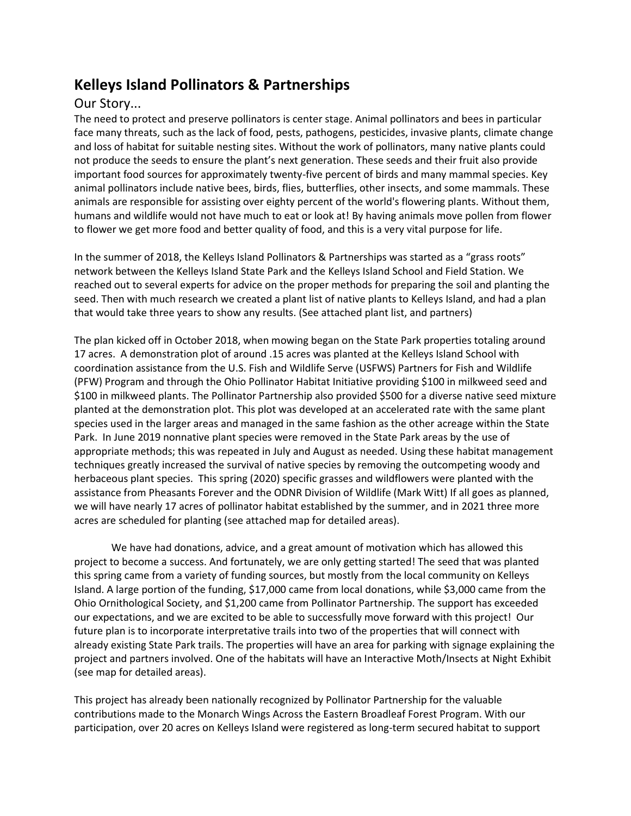## **Kelleys Island Pollinators & Partnerships**

## Our Story...

The need to protect and preserve pollinators is center stage. Animal pollinators and bees in particular face many threats, such as the lack of food, pests, pathogens, pesticides, invasive plants, climate change and loss of habitat for suitable nesting sites. Without the work of pollinators, many native plants could not produce the seeds to ensure the plant's next generation. These seeds and their fruit also provide important food sources for approximately twenty-five percent of birds and many mammal species. Key animal pollinators include native bees, birds, flies, butterflies, other insects, and some mammals. These animals are responsible for assisting over eighty percent of the world's flowering plants. Without them, humans and wildlife would not have much to eat or look at! By having animals move pollen from flower to flower we get more food and better quality of food, and this is a very vital purpose for life.

In the summer of 2018, the Kelleys Island Pollinators & Partnerships was started as a "grass roots" network between the Kelleys Island State Park and the Kelleys Island School and Field Station. We reached out to several experts for advice on the proper methods for preparing the soil and planting the seed. Then with much research we created a plant list of native plants to Kelleys Island, and had a plan that would take three years to show any results. (See attached plant list, and partners)

The plan kicked off in October 2018, when mowing began on the State Park properties totaling around 17 acres. A demonstration plot of around .15 acres was planted at the Kelleys Island School with coordination assistance from the U.S. Fish and Wildlife Serve (USFWS) Partners for Fish and Wildlife (PFW) Program and through the Ohio Pollinator Habitat Initiative providing \$100 in milkweed seed and \$100 in milkweed plants. The Pollinator Partnership also provided \$500 for a diverse native seed mixture planted at the demonstration plot. This plot was developed at an accelerated rate with the same plant species used in the larger areas and managed in the same fashion as the other acreage within the State Park. In June 2019 nonnative plant species were removed in the State Park areas by the use of appropriate methods; this was repeated in July and August as needed. Using these habitat management techniques greatly increased the survival of native species by removing the outcompeting woody and herbaceous plant species. This spring (2020) specific grasses and wildflowers were planted with the assistance from Pheasants Forever and the ODNR Division of Wildlife (Mark Witt) If all goes as planned, we will have nearly 17 acres of pollinator habitat established by the summer, and in 2021 three more acres are scheduled for planting (see attached map for detailed areas).

We have had donations, advice, and a great amount of motivation which has allowed this project to become a success. And fortunately, we are only getting started! The seed that was planted this spring came from a variety of funding sources, but mostly from the local community on Kelleys Island. A large portion of the funding, \$17,000 came from local donations, while \$3,000 came from the Ohio Ornithological Society, and \$1,200 came from Pollinator Partnership. The support has exceeded our expectations, and we are excited to be able to successfully move forward with this project! Our future plan is to incorporate interpretative trails into two of the properties that will connect with already existing State Park trails. The properties will have an area for parking with signage explaining the project and partners involved. One of the habitats will have an Interactive Moth/Insects at Night Exhibit (see map for detailed areas).

This project has already been nationally recognized by Pollinator Partnership for the valuable contributions made to the Monarch Wings Across the Eastern Broadleaf Forest Program. With our participation, over 20 acres on Kelleys Island were registered as long-term secured habitat to support